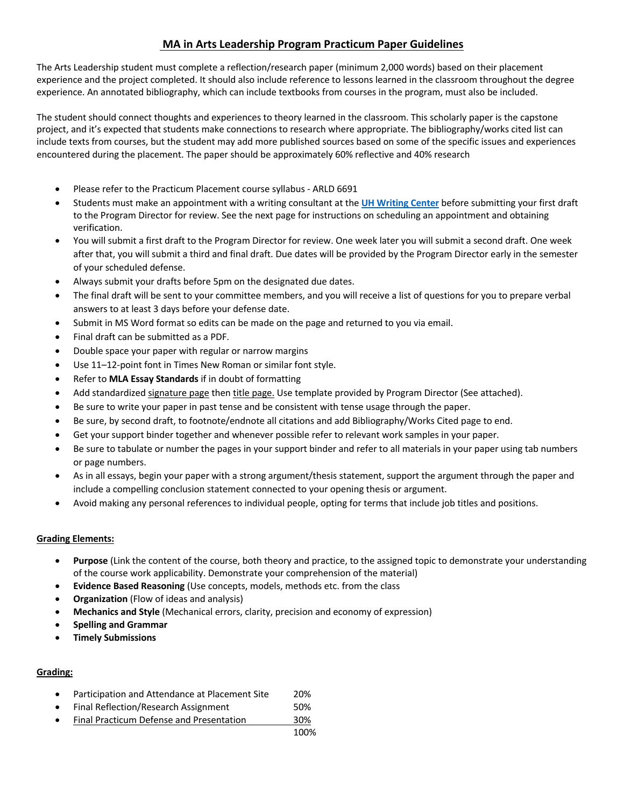# **MA in Arts Leadership Program Practicum Paper Guidelines**

The Arts Leadership student must complete a reflection/research paper (minimum 2,000 words) based on their placement experience and the project completed. It should also include reference to lessons learned in the classroom throughout the degree experience. An annotated bibliography, which can include textbooks from courses in the program, must also be included.

The student should connect thoughts and experiences to theory learned in the classroom. This scholarly paper is the capstone project, and it's expected that students make connections to research where appropriate. The bibliography/works cited list can include texts from courses, but the student may add more published sources based on some of the specific issues and experiences encountered during the placement. The paper should be approximately 60% reflective and 40% research

- Please refer to the Practicum Placement course syllabus ARLD 6691
- Students must make an appointment with a writing consultant at the **UH Writing Center** before submitting your first draft to the Program Director for review. See the next page for instructions on scheduling an appointment and obtaining verification.
- You will submit a first draft to the Program Director for review. One week later you will submit a second draft. One week after that, you will submit a third and final draft. Due dates will be provided by the Program Director early in the semester of your scheduled defense.
- Always submit your drafts before 5pm on the designated due dates.
- The final draft will be sent to your committee members, and you will receive a list of questions for you to prepare verbal answers to at least 3 days before your defense date.
- Submit in MS Word format so edits can be made on the page and returned to you via email.
- Final draft can be submitted as a PDF.
- Double space your paper with regular or narrow margins
- Use 11-12-point font in Times New Roman or similar font style.
- Refer to **MLA Essay Standards** if in doubt of formatting
- Add standardized signature page then title page. Use template provided by Program Director (See attached).
- Be sure to write your paper in past tense and be consistent with tense usage through the paper.
- Be sure, by second draft, to footnote/endnote all citations and add Bibliography/Works Cited page to end.
- Get your support binder together and whenever possible refer to relevant work samples in your paper.
- Be sure to tabulate or number the pages in your support binder and refer to all materials in your paper using tab numbers or page numbers.
- As in all essays, begin your paper with a strong argument/thesis statement, support the argument through the paper and include a compelling conclusion statement connected to your opening thesis or argument.
- Avoid making any personal references to individual people, opting for terms that include job titles and positions.

## **Grading Elements:**

- **Purpose** (Link the content of the course, both theory and practice, to the assigned topic to demonstrate your understanding of the course work applicability. Demonstrate your comprehension of the material)
- **Evidence Based Reasoning** (Use concepts, models, methods etc. from the class
- **Organization** (Flow of ideas and analysis)
- **Mechanics and Style** (Mechanical errors, clarity, precision and economy of expression)
- **Spelling and Grammar**
- **Timely Submissions**

## **Grading:**

- Participation and Attendance at Placement Site 20%
- Final Reflection/Research Assignment 50%
- Final Practicum Defense and Presentation 30%
	- 100%